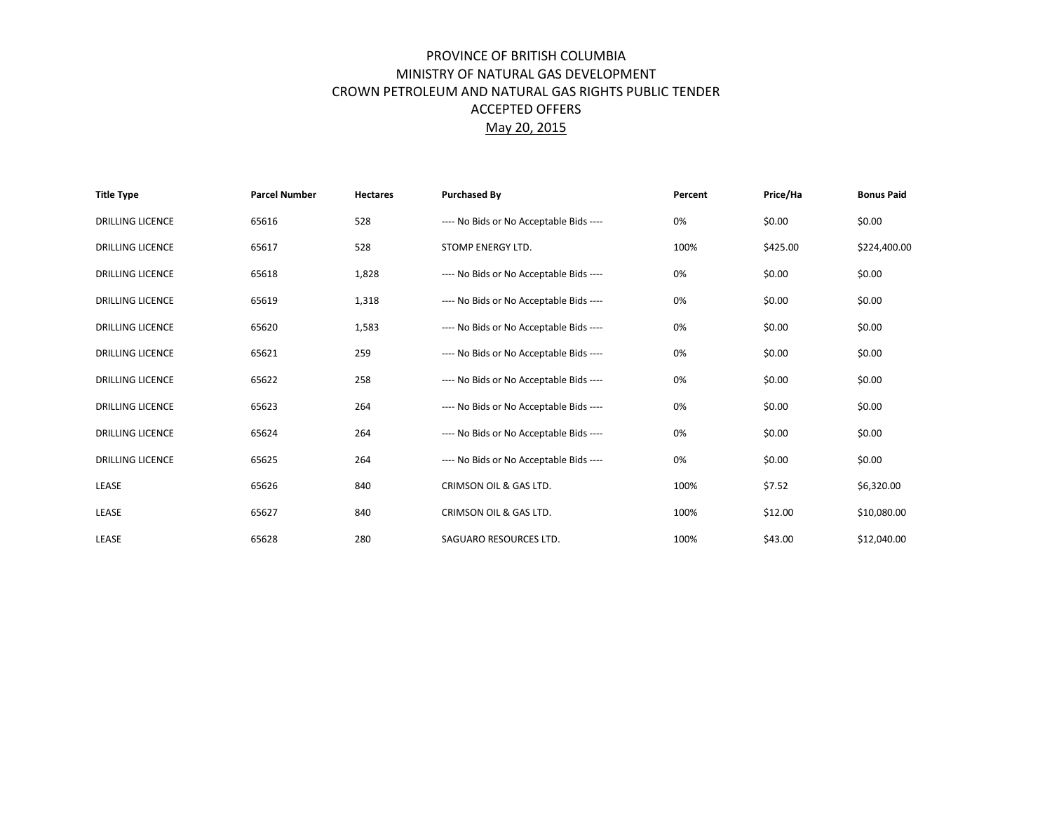## PROVINCE OF BRITISH COLUMBIA MINISTRY OF NATURAL GAS DEVELOPMENT CROWN PETROLEUM AND NATURAL GAS RIGHTS PUBLIC TENDER ACCEPTED OFFERS May 20, 2015

| <b>Title Type</b>       | <b>Parcel Number</b> | <b>Hectares</b> | <b>Purchased By</b><br>Percent          |      | Price/Ha | <b>Bonus Paid</b> |
|-------------------------|----------------------|-----------------|-----------------------------------------|------|----------|-------------------|
| <b>DRILLING LICENCE</b> | 65616                | 528             | ---- No Bids or No Acceptable Bids ---- | 0%   | \$0.00   | \$0.00            |
| <b>DRILLING LICENCE</b> | 65617                | 528             | STOMP ENERGY LTD.                       | 100% | \$425.00 | \$224,400.00      |
| <b>DRILLING LICENCE</b> | 65618                | 1,828           | ---- No Bids or No Acceptable Bids ---- | 0%   | \$0.00   | \$0.00            |
| <b>DRILLING LICENCE</b> | 65619                | 1,318           | ---- No Bids or No Acceptable Bids ---- | 0%   | \$0.00   | \$0.00            |
| <b>DRILLING LICENCE</b> | 65620                | 1,583           | ---- No Bids or No Acceptable Bids ---- | 0%   | \$0.00   | \$0.00            |
| <b>DRILLING LICENCE</b> | 65621                | 259             | ---- No Bids or No Acceptable Bids ---- | 0%   | \$0.00   | \$0.00            |
| <b>DRILLING LICENCE</b> | 65622                | 258             | ---- No Bids or No Acceptable Bids ---- | 0%   | \$0.00   | \$0.00            |
| <b>DRILLING LICENCE</b> | 65623                | 264             | ---- No Bids or No Acceptable Bids ---- | 0%   | \$0.00   | \$0.00            |
| <b>DRILLING LICENCE</b> | 65624                | 264             | ---- No Bids or No Acceptable Bids ---- | 0%   | \$0.00   | \$0.00            |
| <b>DRILLING LICENCE</b> | 65625                | 264             | ---- No Bids or No Acceptable Bids ---- | 0%   | \$0.00   | \$0.00            |
| LEASE                   | 65626                | 840             | CRIMSON OIL & GAS LTD.                  | 100% | \$7.52   | \$6,320.00        |
| LEASE                   | 65627                | 840             | CRIMSON OIL & GAS LTD.                  | 100% | \$12.00  | \$10,080.00       |
| LEASE                   | 65628                | 280             | SAGUARO RESOURCES LTD.                  | 100% | \$43.00  | \$12,040.00       |